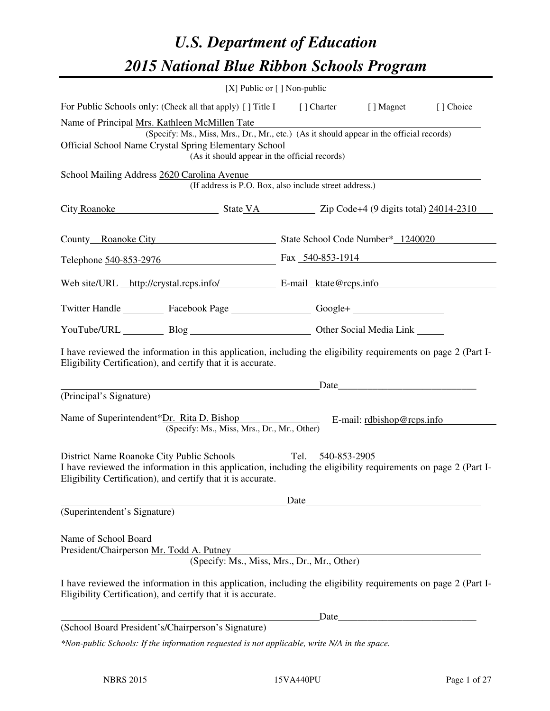# *U.S. Department of Education 2015 National Blue Ribbon Schools Program*

|                                                                                                                                                                                                                                                     | [X] Public or [] Non-public                         |                                                                                                                       |           |
|-----------------------------------------------------------------------------------------------------------------------------------------------------------------------------------------------------------------------------------------------------|-----------------------------------------------------|-----------------------------------------------------------------------------------------------------------------------|-----------|
| For Public Schools only: (Check all that apply) [] Title I [] Charter [] Magnet                                                                                                                                                                     |                                                     |                                                                                                                       | [] Choice |
| Name of Principal Mrs. Kathleen McMillen Tate<br>(Specify: Ms., Miss, Mrs., Dr., Mr., etc.) (As it should appear in the official records)<br>Official School Name Crystal Spring Elementary School<br>(As it should appear in the official records) |                                                     | <u> 1989 - Johann Barn, mars ann an t-Amhain Aonaichte ann an t-Amhain Aonaichte ann an t-Amhain Aonaichte ann an</u> |           |
| School Mailing Address 2620 Carolina Avenue<br>(If address is P.O. Box, also include street address.)                                                                                                                                               | <u> 1980 - Andrea Station Barbara, amerikan per</u> |                                                                                                                       |           |
| City Roanoke State VA Zip Code+4 (9 digits total) 24014-2310                                                                                                                                                                                        |                                                     |                                                                                                                       |           |
| County Roanoke City State School Code Number* 1240020                                                                                                                                                                                               |                                                     |                                                                                                                       |           |
| Telephone 540-853-2976 Fax 540-853-1914                                                                                                                                                                                                             |                                                     |                                                                                                                       |           |
| Web site/URL http://crystal.rcps.info/ E-mail ktate@rcps.info                                                                                                                                                                                       |                                                     |                                                                                                                       |           |
| Twitter Handle ___________ Facebook Page ___________________ Google+ ____________                                                                                                                                                                   |                                                     |                                                                                                                       |           |
| YouTube/URL Blog Blog Cher Social Media Link                                                                                                                                                                                                        |                                                     |                                                                                                                       |           |
| I have reviewed the information in this application, including the eligibility requirements on page 2 (Part I-<br>Eligibility Certification), and certify that it is accurate.                                                                      |                                                     |                                                                                                                       |           |
| Date                                                                                                                                                                                                                                                |                                                     |                                                                                                                       |           |
| (Principal's Signature)<br>Name of Superintendent*Dr. Rita D. Bishop E-mail: rdbishop@rcps.info<br>(Specify: Ms., Miss, Mrs., Dr., Mr., Other)                                                                                                      |                                                     |                                                                                                                       |           |
| District Name Roanoke City Public Schools<br>I have reviewed the information in this application, including the eligibility requirements on page 2 (Part I-<br>Eligibility Certification), and certify that it is accurate.                         |                                                     | Tel. 540-853-2905                                                                                                     |           |
|                                                                                                                                                                                                                                                     | Date                                                |                                                                                                                       |           |
| (Superintendent's Signature)                                                                                                                                                                                                                        |                                                     |                                                                                                                       |           |
| Name of School Board<br>President/Chairperson Mr. Todd A. Putney<br>(Specify: Ms., Miss, Mrs., Dr., Mr., Other)                                                                                                                                     |                                                     |                                                                                                                       |           |
| I have reviewed the information in this application, including the eligibility requirements on page 2 (Part I-<br>Eligibility Certification), and certify that it is accurate.                                                                      |                                                     |                                                                                                                       |           |
|                                                                                                                                                                                                                                                     | Date_                                               |                                                                                                                       |           |
| (School Board President's/Chairperson's Signature)                                                                                                                                                                                                  |                                                     |                                                                                                                       |           |
| *Non-public Schools: If the information requested is not applicable, write N/A in the space.                                                                                                                                                        |                                                     |                                                                                                                       |           |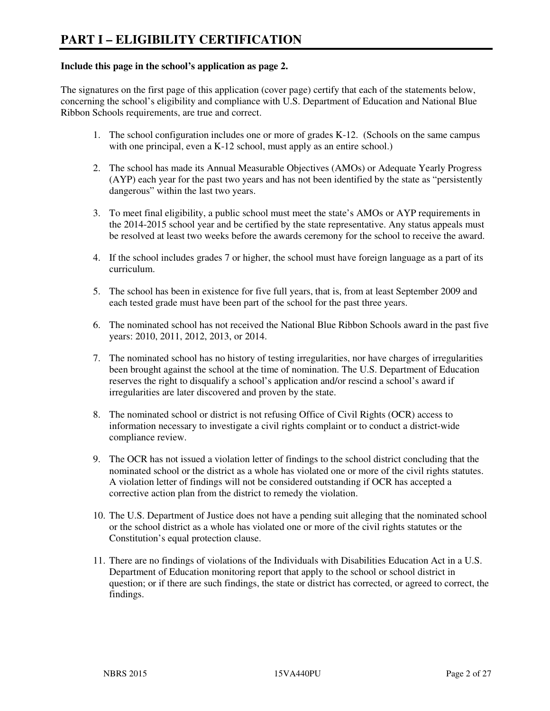#### **Include this page in the school's application as page 2.**

The signatures on the first page of this application (cover page) certify that each of the statements below, concerning the school's eligibility and compliance with U.S. Department of Education and National Blue Ribbon Schools requirements, are true and correct.

- 1. The school configuration includes one or more of grades K-12. (Schools on the same campus with one principal, even a K-12 school, must apply as an entire school.)
- 2. The school has made its Annual Measurable Objectives (AMOs) or Adequate Yearly Progress (AYP) each year for the past two years and has not been identified by the state as "persistently dangerous" within the last two years.
- 3. To meet final eligibility, a public school must meet the state's AMOs or AYP requirements in the 2014-2015 school year and be certified by the state representative. Any status appeals must be resolved at least two weeks before the awards ceremony for the school to receive the award.
- 4. If the school includes grades 7 or higher, the school must have foreign language as a part of its curriculum.
- 5. The school has been in existence for five full years, that is, from at least September 2009 and each tested grade must have been part of the school for the past three years.
- 6. The nominated school has not received the National Blue Ribbon Schools award in the past five years: 2010, 2011, 2012, 2013, or 2014.
- 7. The nominated school has no history of testing irregularities, nor have charges of irregularities been brought against the school at the time of nomination. The U.S. Department of Education reserves the right to disqualify a school's application and/or rescind a school's award if irregularities are later discovered and proven by the state.
- 8. The nominated school or district is not refusing Office of Civil Rights (OCR) access to information necessary to investigate a civil rights complaint or to conduct a district-wide compliance review.
- 9. The OCR has not issued a violation letter of findings to the school district concluding that the nominated school or the district as a whole has violated one or more of the civil rights statutes. A violation letter of findings will not be considered outstanding if OCR has accepted a corrective action plan from the district to remedy the violation.
- 10. The U.S. Department of Justice does not have a pending suit alleging that the nominated school or the school district as a whole has violated one or more of the civil rights statutes or the Constitution's equal protection clause.
- 11. There are no findings of violations of the Individuals with Disabilities Education Act in a U.S. Department of Education monitoring report that apply to the school or school district in question; or if there are such findings, the state or district has corrected, or agreed to correct, the findings.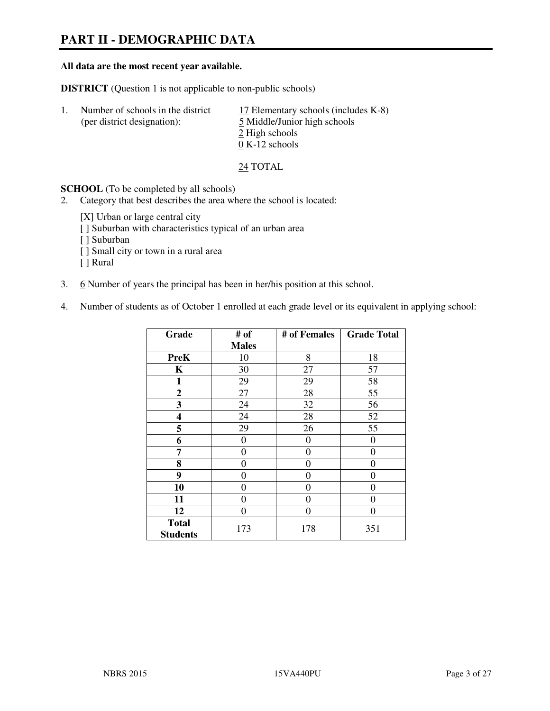# **PART II - DEMOGRAPHIC DATA**

#### **All data are the most recent year available.**

**DISTRICT** (Question 1 is not applicable to non-public schools)

| Number of schools in the district<br>(per district designation): | 17 Elementary schools (includes K-8)<br>5 Middle/Junior high schools<br>2 High schools |
|------------------------------------------------------------------|----------------------------------------------------------------------------------------|
|                                                                  | $0 K-12$ schools                                                                       |

24 TOTAL

**SCHOOL** (To be completed by all schools)

- 2. Category that best describes the area where the school is located:
	- [X] Urban or large central city
	- [ ] Suburban with characteristics typical of an urban area
	- [ ] Suburban
	- [ ] Small city or town in a rural area
	- [ ] Rural
- 3. 6 Number of years the principal has been in her/his position at this school.
- 4. Number of students as of October 1 enrolled at each grade level or its equivalent in applying school:

| Grade                           | # of         | # of Females   | <b>Grade Total</b> |
|---------------------------------|--------------|----------------|--------------------|
|                                 | <b>Males</b> |                |                    |
| <b>PreK</b>                     | 10           | 8              | 18                 |
| K                               | 30           | 27             | 57                 |
| 1                               | 29           | 29             | 58                 |
| $\mathbf{2}$                    | 27           | 28             | 55                 |
| 3                               | 24           | 32             | 56                 |
| 4                               | 24           | 28             | 52                 |
| 5                               | 29           | 26             | 55                 |
| 6                               | 0            | $\theta$       | 0                  |
| 7                               | 0            | $\overline{0}$ | 0                  |
| 8                               | 0            | 0              | 0                  |
| 9                               | $\theta$     | $\overline{0}$ | 0                  |
| 10                              | 0            | 0              | 0                  |
| 11                              | 0            | 0              | $\theta$           |
| 12                              | 0            | 0              | 0                  |
| <b>Total</b><br><b>Students</b> | 173          | 178            | 351                |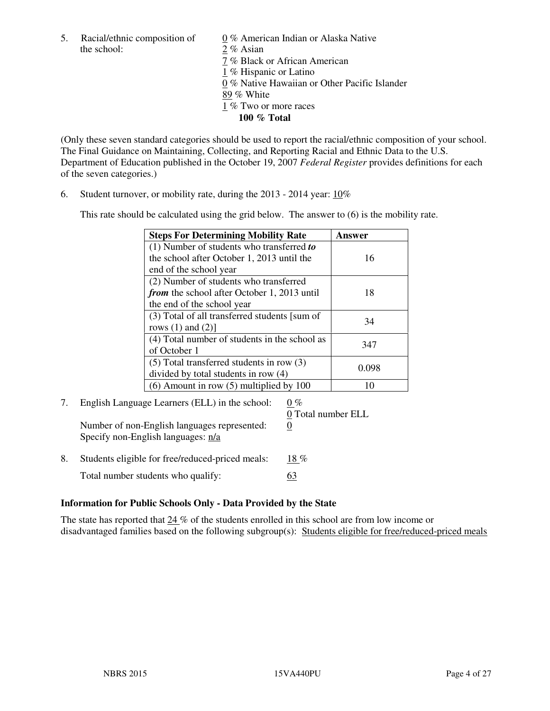5. Racial/ethnic composition of  $0\%$  American Indian or Alaska Native the school: 2 % Asian

 7 % Black or African American 1 % Hispanic or Latino 0 % Native Hawaiian or Other Pacific Islander 89 % White 1 % Two or more races **100 % Total** 

(Only these seven standard categories should be used to report the racial/ethnic composition of your school. The Final Guidance on Maintaining, Collecting, and Reporting Racial and Ethnic Data to the U.S. Department of Education published in the October 19, 2007 *Federal Register* provides definitions for each of the seven categories.)

6. Student turnover, or mobility rate, during the 2013 - 2014 year: 10%

This rate should be calculated using the grid below. The answer to (6) is the mobility rate.

| <b>Steps For Determining Mobility Rate</b>    | Answer |
|-----------------------------------------------|--------|
| $(1)$ Number of students who transferred to   |        |
| the school after October 1, 2013 until the    | 16     |
| end of the school year                        |        |
| (2) Number of students who transferred        |        |
| from the school after October 1, 2013 until   | 18     |
| the end of the school year                    |        |
| (3) Total of all transferred students [sum of | 34     |
| rows $(1)$ and $(2)$ ]                        |        |
| (4) Total number of students in the school as | 347    |
| of October 1                                  |        |
| $(5)$ Total transferred students in row $(3)$ | 0.098  |
| divided by total students in row (4)          |        |
| $(6)$ Amount in row $(5)$ multiplied by 100   | 10     |

#### 7. English Language Learners (ELL) in the school:  $0\%$ 0 Total number ELL

Number of non-English languages represented: 0 Specify non-English languages: n/a

- 8. Students eligible for free/reduced-priced meals:  $18\%$ 
	- Total number students who qualify: 63

# **Information for Public Schools Only - Data Provided by the State**

The state has reported that  $24\%$  of the students enrolled in this school are from low income or disadvantaged families based on the following subgroup(s): Students eligible for free/reduced-priced meals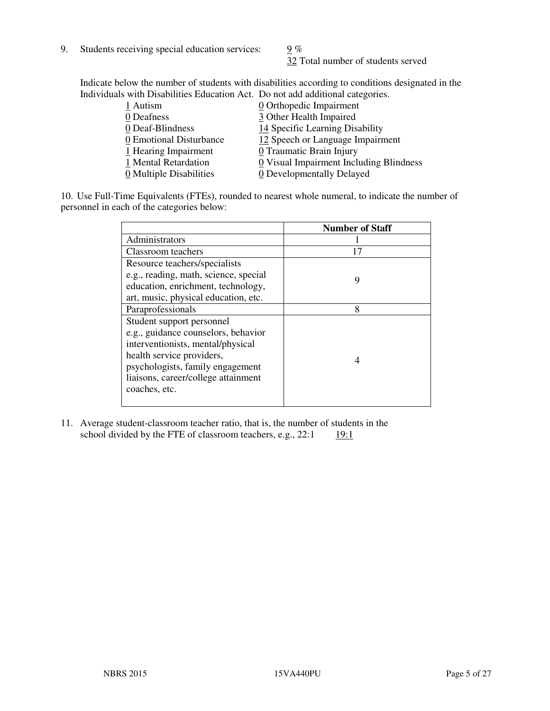9. Students receiving special education services:  $9\%$ 

32 Total number of students served

Indicate below the number of students with disabilities according to conditions designated in the Individuals with Disabilities Education Act. Do not add additional categories.

| 1 Autism                | 0 Orthopedic Impairment                 |
|-------------------------|-----------------------------------------|
| 0 Deafness              | 3 Other Health Impaired                 |
| 0 Deaf-Blindness        | 14 Specific Learning Disability         |
| 0 Emotional Disturbance | 12 Speech or Language Impairment        |
| 1 Hearing Impairment    | 0 Traumatic Brain Injury                |
| 1 Mental Retardation    | 0 Visual Impairment Including Blindness |
| 0 Multiple Disabilities | 0 Developmentally Delayed               |
|                         |                                         |

10. Use Full-Time Equivalents (FTEs), rounded to nearest whole numeral, to indicate the number of personnel in each of the categories below:

|                                       | <b>Number of Staff</b> |
|---------------------------------------|------------------------|
| Administrators                        |                        |
| Classroom teachers                    | 17                     |
| Resource teachers/specialists         |                        |
| e.g., reading, math, science, special | 9                      |
| education, enrichment, technology,    |                        |
| art, music, physical education, etc.  |                        |
| Paraprofessionals                     | 8                      |
| Student support personnel             |                        |
| e.g., guidance counselors, behavior   |                        |
| interventionists, mental/physical     |                        |
| health service providers,             |                        |
| psychologists, family engagement      |                        |
| liaisons, career/college attainment   |                        |
| coaches, etc.                         |                        |
|                                       |                        |

11. Average student-classroom teacher ratio, that is, the number of students in the school divided by the FTE of classroom teachers, e.g.,  $22:1$  19:1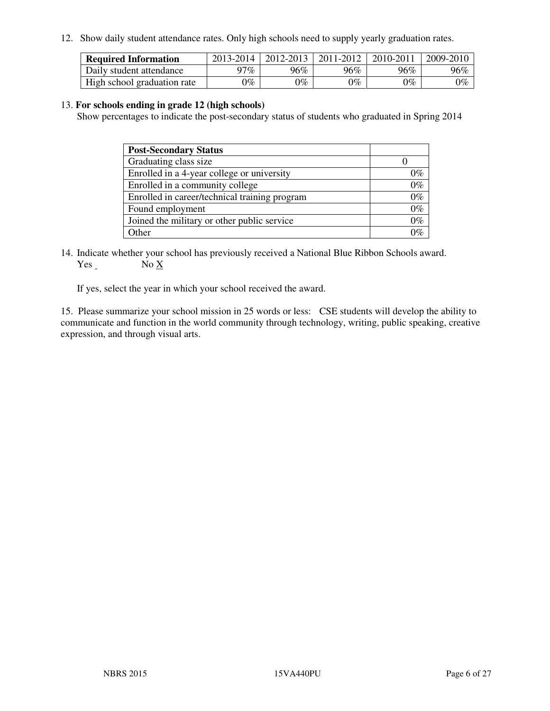12. Show daily student attendance rates. Only high schools need to supply yearly graduation rates.

| <b>Required Information</b> | 2013-2014     | 2012-2013       | 2011-2012 | 2010-2011 | 2009-2010 |
|-----------------------------|---------------|-----------------|-----------|-----------|-----------|
| Daily student attendance    | 97%           | $96\%$          | 96%       | 96%       | 96%       |
| High school graduation rate | $\gamma_{\%}$ | $\mathcal{V}_o$ | $0\%$     | 0%        | 0%        |

#### 13. **For schools ending in grade 12 (high schools)**

Show percentages to indicate the post-secondary status of students who graduated in Spring 2014

| <b>Post-Secondary Status</b>                  |       |
|-----------------------------------------------|-------|
| Graduating class size                         |       |
| Enrolled in a 4-year college or university    | በ‰    |
| Enrolled in a community college               | $0\%$ |
| Enrolled in career/technical training program | $0\%$ |
| Found employment                              | $0\%$ |
| Joined the military or other public service   | 0%    |
| Other                                         |       |

14. Indicate whether your school has previously received a National Blue Ribbon Schools award. Yes No X

If yes, select the year in which your school received the award.

15. Please summarize your school mission in 25 words or less: CSE students will develop the ability to communicate and function in the world community through technology, writing, public speaking, creative expression, and through visual arts.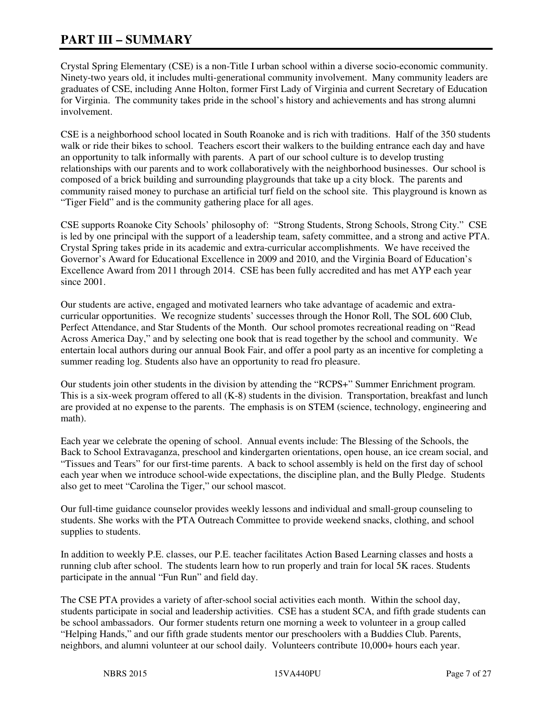# **PART III – SUMMARY**

Crystal Spring Elementary (CSE) is a non-Title I urban school within a diverse socio-economic community. Ninety-two years old, it includes multi-generational community involvement. Many community leaders are graduates of CSE, including Anne Holton, former First Lady of Virginia and current Secretary of Education for Virginia. The community takes pride in the school's history and achievements and has strong alumni involvement.

CSE is a neighborhood school located in South Roanoke and is rich with traditions. Half of the 350 students walk or ride their bikes to school. Teachers escort their walkers to the building entrance each day and have an opportunity to talk informally with parents. A part of our school culture is to develop trusting relationships with our parents and to work collaboratively with the neighborhood businesses. Our school is composed of a brick building and surrounding playgrounds that take up a city block. The parents and community raised money to purchase an artificial turf field on the school site. This playground is known as "Tiger Field" and is the community gathering place for all ages.

CSE supports Roanoke City Schools' philosophy of: "Strong Students, Strong Schools, Strong City." CSE is led by one principal with the support of a leadership team, safety committee, and a strong and active PTA. Crystal Spring takes pride in its academic and extra-curricular accomplishments. We have received the Governor's Award for Educational Excellence in 2009 and 2010, and the Virginia Board of Education's Excellence Award from 2011 through 2014. CSE has been fully accredited and has met AYP each year since 2001.

Our students are active, engaged and motivated learners who take advantage of academic and extracurricular opportunities. We recognize students' successes through the Honor Roll, The SOL 600 Club, Perfect Attendance, and Star Students of the Month. Our school promotes recreational reading on "Read Across America Day," and by selecting one book that is read together by the school and community. We entertain local authors during our annual Book Fair, and offer a pool party as an incentive for completing a summer reading log. Students also have an opportunity to read fro pleasure.

Our students join other students in the division by attending the "RCPS+" Summer Enrichment program. This is a six-week program offered to all (K-8) students in the division. Transportation, breakfast and lunch are provided at no expense to the parents. The emphasis is on STEM (science, technology, engineering and math).

Each year we celebrate the opening of school. Annual events include: The Blessing of the Schools, the Back to School Extravaganza, preschool and kindergarten orientations, open house, an ice cream social, and "Tissues and Tears" for our first-time parents. A back to school assembly is held on the first day of school each year when we introduce school-wide expectations, the discipline plan, and the Bully Pledge. Students also get to meet "Carolina the Tiger," our school mascot.

Our full-time guidance counselor provides weekly lessons and individual and small-group counseling to students. She works with the PTA Outreach Committee to provide weekend snacks, clothing, and school supplies to students.

In addition to weekly P.E. classes, our P.E. teacher facilitates Action Based Learning classes and hosts a running club after school. The students learn how to run properly and train for local 5K races. Students participate in the annual "Fun Run" and field day.

The CSE PTA provides a variety of after-school social activities each month. Within the school day, students participate in social and leadership activities. CSE has a student SCA, and fifth grade students can be school ambassadors. Our former students return one morning a week to volunteer in a group called "Helping Hands," and our fifth grade students mentor our preschoolers with a Buddies Club. Parents, neighbors, and alumni volunteer at our school daily. Volunteers contribute 10,000+ hours each year.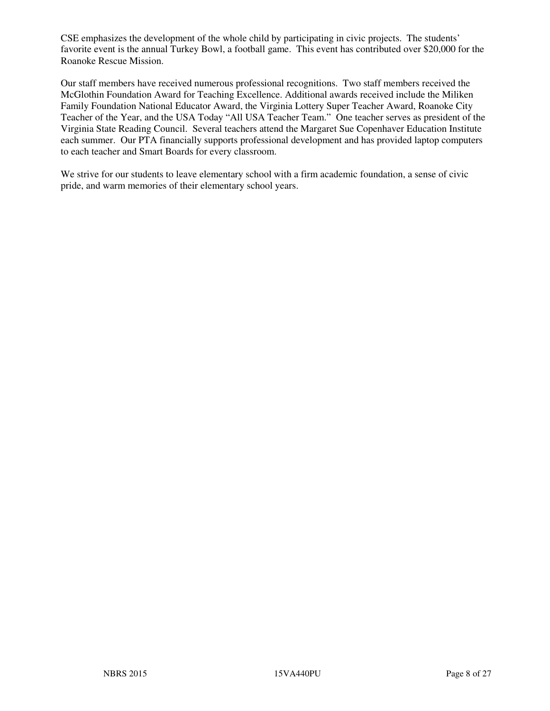CSE emphasizes the development of the whole child by participating in civic projects. The students' favorite event is the annual Turkey Bowl, a football game. This event has contributed over \$20,000 for the Roanoke Rescue Mission.

Our staff members have received numerous professional recognitions. Two staff members received the McGlothin Foundation Award for Teaching Excellence. Additional awards received include the Miliken Family Foundation National Educator Award, the Virginia Lottery Super Teacher Award, Roanoke City Teacher of the Year, and the USA Today "All USA Teacher Team." One teacher serves as president of the Virginia State Reading Council. Several teachers attend the Margaret Sue Copenhaver Education Institute each summer. Our PTA financially supports professional development and has provided laptop computers to each teacher and Smart Boards for every classroom.

We strive for our students to leave elementary school with a firm academic foundation, a sense of civic pride, and warm memories of their elementary school years.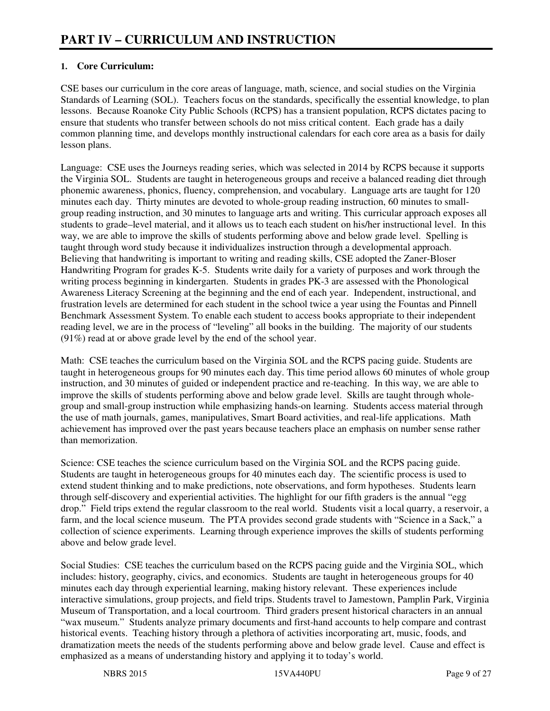# **1. Core Curriculum:**

CSE bases our curriculum in the core areas of language, math, science, and social studies on the Virginia Standards of Learning (SOL). Teachers focus on the standards, specifically the essential knowledge, to plan lessons. Because Roanoke City Public Schools (RCPS) has a transient population, RCPS dictates pacing to ensure that students who transfer between schools do not miss critical content. Each grade has a daily common planning time, and develops monthly instructional calendars for each core area as a basis for daily lesson plans.

Language: CSE uses the Journeys reading series, which was selected in 2014 by RCPS because it supports the Virginia SOL. Students are taught in heterogeneous groups and receive a balanced reading diet through phonemic awareness, phonics, fluency, comprehension, and vocabulary. Language arts are taught for 120 minutes each day. Thirty minutes are devoted to whole-group reading instruction, 60 minutes to smallgroup reading instruction, and 30 minutes to language arts and writing. This curricular approach exposes all students to grade–level material, and it allows us to teach each student on his/her instructional level. In this way, we are able to improve the skills of students performing above and below grade level. Spelling is taught through word study because it individualizes instruction through a developmental approach. Believing that handwriting is important to writing and reading skills, CSE adopted the Zaner-Bloser Handwriting Program for grades K-5. Students write daily for a variety of purposes and work through the writing process beginning in kindergarten. Students in grades PK-3 are assessed with the Phonological Awareness Literacy Screening at the beginning and the end of each year. Independent, instructional, and frustration levels are determined for each student in the school twice a year using the Fountas and Pinnell Benchmark Assessment System. To enable each student to access books appropriate to their independent reading level, we are in the process of "leveling" all books in the building. The majority of our students (91%) read at or above grade level by the end of the school year.

Math: CSE teaches the curriculum based on the Virginia SOL and the RCPS pacing guide. Students are taught in heterogeneous groups for 90 minutes each day. This time period allows 60 minutes of whole group instruction, and 30 minutes of guided or independent practice and re-teaching. In this way, we are able to improve the skills of students performing above and below grade level. Skills are taught through wholegroup and small-group instruction while emphasizing hands-on learning. Students access material through the use of math journals, games, manipulatives, Smart Board activities, and real-life applications. Math achievement has improved over the past years because teachers place an emphasis on number sense rather than memorization.

Science: CSE teaches the science curriculum based on the Virginia SOL and the RCPS pacing guide. Students are taught in heterogeneous groups for 40 minutes each day. The scientific process is used to extend student thinking and to make predictions, note observations, and form hypotheses. Students learn through self-discovery and experiential activities. The highlight for our fifth graders is the annual "egg drop." Field trips extend the regular classroom to the real world. Students visit a local quarry, a reservoir, a farm, and the local science museum. The PTA provides second grade students with "Science in a Sack," a collection of science experiments. Learning through experience improves the skills of students performing above and below grade level.

Social Studies: CSE teaches the curriculum based on the RCPS pacing guide and the Virginia SOL, which includes: history, geography, civics, and economics. Students are taught in heterogeneous groups for 40 minutes each day through experiential learning, making history relevant. These experiences include interactive simulations, group projects, and field trips. Students travel to Jamestown, Pamplin Park, Virginia Museum of Transportation, and a local courtroom. Third graders present historical characters in an annual "wax museum." Students analyze primary documents and first-hand accounts to help compare and contrast historical events. Teaching history through a plethora of activities incorporating art, music, foods, and dramatization meets the needs of the students performing above and below grade level. Cause and effect is emphasized as a means of understanding history and applying it to today's world.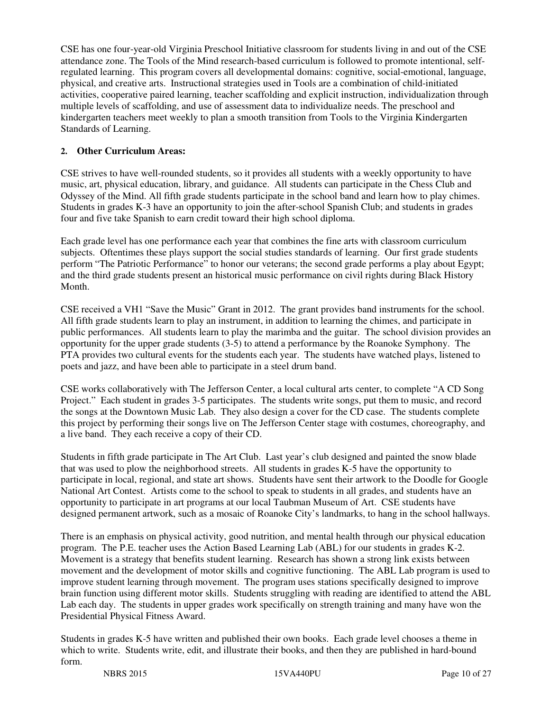CSE has one four-year-old Virginia Preschool Initiative classroom for students living in and out of the CSE attendance zone. The Tools of the Mind research-based curriculum is followed to promote intentional, selfregulated learning. This program covers all developmental domains: cognitive, social-emotional, language, physical, and creative arts. Instructional strategies used in Tools are a combination of child-initiated activities, cooperative paired learning, teacher scaffolding and explicit instruction, individualization through multiple levels of scaffolding, and use of assessment data to individualize needs. The preschool and kindergarten teachers meet weekly to plan a smooth transition from Tools to the Virginia Kindergarten Standards of Learning.

#### **2. Other Curriculum Areas:**

CSE strives to have well-rounded students, so it provides all students with a weekly opportunity to have music, art, physical education, library, and guidance. All students can participate in the Chess Club and Odyssey of the Mind. All fifth grade students participate in the school band and learn how to play chimes. Students in grades K-3 have an opportunity to join the after-school Spanish Club; and students in grades four and five take Spanish to earn credit toward their high school diploma.

Each grade level has one performance each year that combines the fine arts with classroom curriculum subjects. Oftentimes these plays support the social studies standards of learning. Our first grade students perform "The Patriotic Performance" to honor our veterans; the second grade performs a play about Egypt; and the third grade students present an historical music performance on civil rights during Black History Month.

CSE received a VH1 "Save the Music" Grant in 2012. The grant provides band instruments for the school. All fifth grade students learn to play an instrument, in addition to learning the chimes, and participate in public performances. All students learn to play the marimba and the guitar. The school division provides an opportunity for the upper grade students (3-5) to attend a performance by the Roanoke Symphony. The PTA provides two cultural events for the students each year. The students have watched plays, listened to poets and jazz, and have been able to participate in a steel drum band.

CSE works collaboratively with The Jefferson Center, a local cultural arts center, to complete "A CD Song Project." Each student in grades 3-5 participates. The students write songs, put them to music, and record the songs at the Downtown Music Lab. They also design a cover for the CD case. The students complete this project by performing their songs live on The Jefferson Center stage with costumes, choreography, and a live band. They each receive a copy of their CD.

Students in fifth grade participate in The Art Club. Last year's club designed and painted the snow blade that was used to plow the neighborhood streets. All students in grades K-5 have the opportunity to participate in local, regional, and state art shows. Students have sent their artwork to the Doodle for Google National Art Contest. Artists come to the school to speak to students in all grades, and students have an opportunity to participate in art programs at our local Taubman Museum of Art. CSE students have designed permanent artwork, such as a mosaic of Roanoke City's landmarks, to hang in the school hallways.

There is an emphasis on physical activity, good nutrition, and mental health through our physical education program. The P.E. teacher uses the Action Based Learning Lab (ABL) for our students in grades K-2. Movement is a strategy that benefits student learning. Research has shown a strong link exists between movement and the development of motor skills and cognitive functioning. The ABL Lab program is used to improve student learning through movement. The program uses stations specifically designed to improve brain function using different motor skills. Students struggling with reading are identified to attend the ABL Lab each day. The students in upper grades work specifically on strength training and many have won the Presidential Physical Fitness Award.

Students in grades K-5 have written and published their own books. Each grade level chooses a theme in which to write. Students write, edit, and illustrate their books, and then they are published in hard-bound form.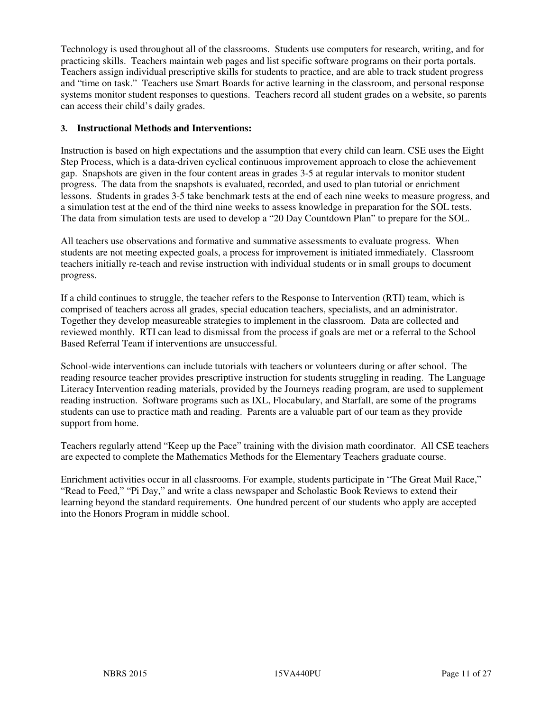Technology is used throughout all of the classrooms. Students use computers for research, writing, and for practicing skills. Teachers maintain web pages and list specific software programs on their porta portals. Teachers assign individual prescriptive skills for students to practice, and are able to track student progress and "time on task." Teachers use Smart Boards for active learning in the classroom, and personal response systems monitor student responses to questions. Teachers record all student grades on a website, so parents can access their child's daily grades.

#### **3. Instructional Methods and Interventions:**

Instruction is based on high expectations and the assumption that every child can learn. CSE uses the Eight Step Process, which is a data-driven cyclical continuous improvement approach to close the achievement gap. Snapshots are given in the four content areas in grades 3-5 at regular intervals to monitor student progress. The data from the snapshots is evaluated, recorded, and used to plan tutorial or enrichment lessons. Students in grades 3-5 take benchmark tests at the end of each nine weeks to measure progress, and a simulation test at the end of the third nine weeks to assess knowledge in preparation for the SOL tests. The data from simulation tests are used to develop a "20 Day Countdown Plan" to prepare for the SOL.

All teachers use observations and formative and summative assessments to evaluate progress. When students are not meeting expected goals, a process for improvement is initiated immediately. Classroom teachers initially re-teach and revise instruction with individual students or in small groups to document progress.

If a child continues to struggle, the teacher refers to the Response to Intervention (RTI) team, which is comprised of teachers across all grades, special education teachers, specialists, and an administrator. Together they develop measureable strategies to implement in the classroom. Data are collected and reviewed monthly. RTI can lead to dismissal from the process if goals are met or a referral to the School Based Referral Team if interventions are unsuccessful.

School-wide interventions can include tutorials with teachers or volunteers during or after school. The reading resource teacher provides prescriptive instruction for students struggling in reading. The Language Literacy Intervention reading materials, provided by the Journeys reading program, are used to supplement reading instruction. Software programs such as IXL, Flocabulary, and Starfall, are some of the programs students can use to practice math and reading. Parents are a valuable part of our team as they provide support from home.

Teachers regularly attend "Keep up the Pace" training with the division math coordinator. All CSE teachers are expected to complete the Mathematics Methods for the Elementary Teachers graduate course.

Enrichment activities occur in all classrooms. For example, students participate in "The Great Mail Race," "Read to Feed," "Pi Day," and write a class newspaper and Scholastic Book Reviews to extend their learning beyond the standard requirements. One hundred percent of our students who apply are accepted into the Honors Program in middle school.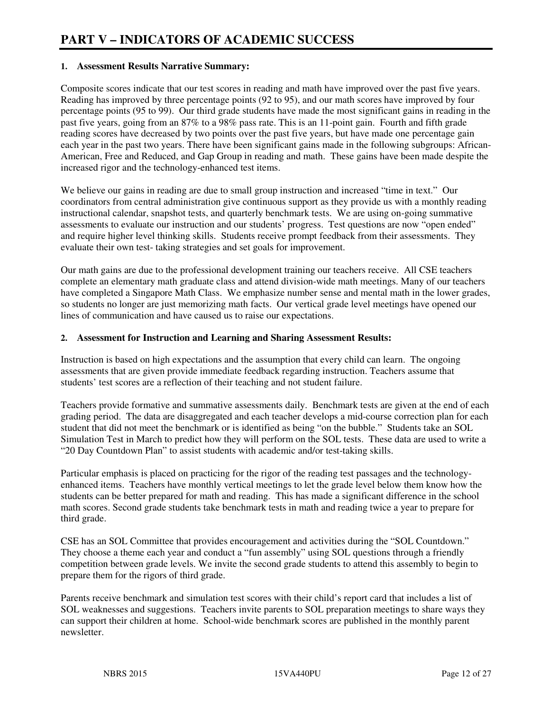#### **1. Assessment Results Narrative Summary:**

Composite scores indicate that our test scores in reading and math have improved over the past five years. Reading has improved by three percentage points (92 to 95), and our math scores have improved by four percentage points (95 to 99). Our third grade students have made the most significant gains in reading in the past five years, going from an 87% to a 98% pass rate. This is an 11-point gain. Fourth and fifth grade reading scores have decreased by two points over the past five years, but have made one percentage gain each year in the past two years. There have been significant gains made in the following subgroups: African-American, Free and Reduced, and Gap Group in reading and math. These gains have been made despite the increased rigor and the technology-enhanced test items.

We believe our gains in reading are due to small group instruction and increased "time in text." Our coordinators from central administration give continuous support as they provide us with a monthly reading instructional calendar, snapshot tests, and quarterly benchmark tests. We are using on-going summative assessments to evaluate our instruction and our students' progress. Test questions are now "open ended" and require higher level thinking skills. Students receive prompt feedback from their assessments. They evaluate their own test- taking strategies and set goals for improvement.

Our math gains are due to the professional development training our teachers receive. All CSE teachers complete an elementary math graduate class and attend division-wide math meetings. Many of our teachers have completed a Singapore Math Class. We emphasize number sense and mental math in the lower grades, so students no longer are just memorizing math facts. Our vertical grade level meetings have opened our lines of communication and have caused us to raise our expectations.

#### **2. Assessment for Instruction and Learning and Sharing Assessment Results:**

Instruction is based on high expectations and the assumption that every child can learn. The ongoing assessments that are given provide immediate feedback regarding instruction. Teachers assume that students' test scores are a reflection of their teaching and not student failure.

Teachers provide formative and summative assessments daily. Benchmark tests are given at the end of each grading period. The data are disaggregated and each teacher develops a mid-course correction plan for each student that did not meet the benchmark or is identified as being "on the bubble." Students take an SOL Simulation Test in March to predict how they will perform on the SOL tests. These data are used to write a "20 Day Countdown Plan" to assist students with academic and/or test-taking skills.

Particular emphasis is placed on practicing for the rigor of the reading test passages and the technologyenhanced items. Teachers have monthly vertical meetings to let the grade level below them know how the students can be better prepared for math and reading. This has made a significant difference in the school math scores. Second grade students take benchmark tests in math and reading twice a year to prepare for third grade.

CSE has an SOL Committee that provides encouragement and activities during the "SOL Countdown." They choose a theme each year and conduct a "fun assembly" using SOL questions through a friendly competition between grade levels. We invite the second grade students to attend this assembly to begin to prepare them for the rigors of third grade.

Parents receive benchmark and simulation test scores with their child's report card that includes a list of SOL weaknesses and suggestions. Teachers invite parents to SOL preparation meetings to share ways they can support their children at home. School-wide benchmark scores are published in the monthly parent newsletter.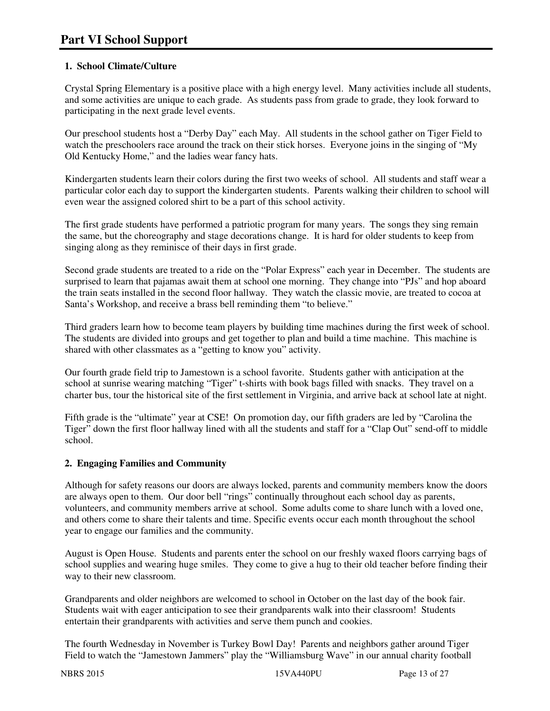# **1. School Climate/Culture**

Crystal Spring Elementary is a positive place with a high energy level. Many activities include all students, and some activities are unique to each grade. As students pass from grade to grade, they look forward to participating in the next grade level events.

Our preschool students host a "Derby Day" each May. All students in the school gather on Tiger Field to watch the preschoolers race around the track on their stick horses. Everyone joins in the singing of "My Old Kentucky Home," and the ladies wear fancy hats.

Kindergarten students learn their colors during the first two weeks of school. All students and staff wear a particular color each day to support the kindergarten students. Parents walking their children to school will even wear the assigned colored shirt to be a part of this school activity.

The first grade students have performed a patriotic program for many years. The songs they sing remain the same, but the choreography and stage decorations change. It is hard for older students to keep from singing along as they reminisce of their days in first grade.

Second grade students are treated to a ride on the "Polar Express" each year in December. The students are surprised to learn that pajamas await them at school one morning. They change into "PJs" and hop aboard the train seats installed in the second floor hallway. They watch the classic movie, are treated to cocoa at Santa's Workshop, and receive a brass bell reminding them "to believe."

Third graders learn how to become team players by building time machines during the first week of school. The students are divided into groups and get together to plan and build a time machine. This machine is shared with other classmates as a "getting to know you" activity.

Our fourth grade field trip to Jamestown is a school favorite. Students gather with anticipation at the school at sunrise wearing matching "Tiger" t-shirts with book bags filled with snacks. They travel on a charter bus, tour the historical site of the first settlement in Virginia, and arrive back at school late at night.

Fifth grade is the "ultimate" year at CSE! On promotion day, our fifth graders are led by "Carolina the Tiger" down the first floor hallway lined with all the students and staff for a "Clap Out" send-off to middle school.

## **2. Engaging Families and Community**

Although for safety reasons our doors are always locked, parents and community members know the doors are always open to them. Our door bell "rings" continually throughout each school day as parents, volunteers, and community members arrive at school. Some adults come to share lunch with a loved one, and others come to share their talents and time. Specific events occur each month throughout the school year to engage our families and the community.

August is Open House. Students and parents enter the school on our freshly waxed floors carrying bags of school supplies and wearing huge smiles. They come to give a hug to their old teacher before finding their way to their new classroom.

Grandparents and older neighbors are welcomed to school in October on the last day of the book fair. Students wait with eager anticipation to see their grandparents walk into their classroom! Students entertain their grandparents with activities and serve them punch and cookies.

The fourth Wednesday in November is Turkey Bowl Day! Parents and neighbors gather around Tiger Field to watch the "Jamestown Jammers" play the "Williamsburg Wave" in our annual charity football

NBRS 2015 15VA440PU Page 13 of 27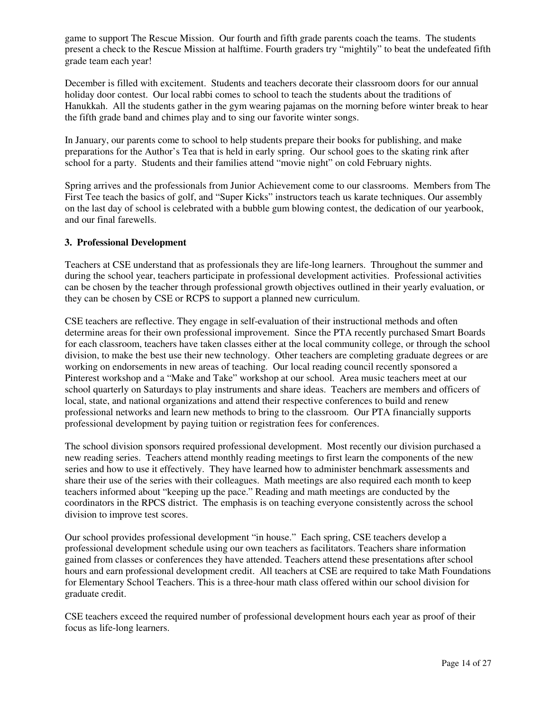game to support The Rescue Mission. Our fourth and fifth grade parents coach the teams. The students present a check to the Rescue Mission at halftime. Fourth graders try "mightily" to beat the undefeated fifth grade team each year!

December is filled with excitement. Students and teachers decorate their classroom doors for our annual holiday door contest. Our local rabbi comes to school to teach the students about the traditions of Hanukkah. All the students gather in the gym wearing pajamas on the morning before winter break to hear the fifth grade band and chimes play and to sing our favorite winter songs.

In January, our parents come to school to help students prepare their books for publishing, and make preparations for the Author's Tea that is held in early spring. Our school goes to the skating rink after school for a party. Students and their families attend "movie night" on cold February nights.

Spring arrives and the professionals from Junior Achievement come to our classrooms. Members from The First Tee teach the basics of golf, and "Super Kicks" instructors teach us karate techniques. Our assembly on the last day of school is celebrated with a bubble gum blowing contest, the dedication of our yearbook, and our final farewells.

#### **3. Professional Development**

Teachers at CSE understand that as professionals they are life-long learners. Throughout the summer and during the school year, teachers participate in professional development activities. Professional activities can be chosen by the teacher through professional growth objectives outlined in their yearly evaluation, or they can be chosen by CSE or RCPS to support a planned new curriculum.

CSE teachers are reflective. They engage in self-evaluation of their instructional methods and often determine areas for their own professional improvement. Since the PTA recently purchased Smart Boards for each classroom, teachers have taken classes either at the local community college, or through the school division, to make the best use their new technology. Other teachers are completing graduate degrees or are working on endorsements in new areas of teaching. Our local reading council recently sponsored a Pinterest workshop and a "Make and Take" workshop at our school. Area music teachers meet at our school quarterly on Saturdays to play instruments and share ideas. Teachers are members and officers of local, state, and national organizations and attend their respective conferences to build and renew professional networks and learn new methods to bring to the classroom. Our PTA financially supports professional development by paying tuition or registration fees for conferences.

The school division sponsors required professional development. Most recently our division purchased a new reading series. Teachers attend monthly reading meetings to first learn the components of the new series and how to use it effectively. They have learned how to administer benchmark assessments and share their use of the series with their colleagues. Math meetings are also required each month to keep teachers informed about "keeping up the pace." Reading and math meetings are conducted by the coordinators in the RPCS district. The emphasis is on teaching everyone consistently across the school division to improve test scores.

Our school provides professional development "in house." Each spring, CSE teachers develop a professional development schedule using our own teachers as facilitators. Teachers share information gained from classes or conferences they have attended. Teachers attend these presentations after school hours and earn professional development credit. All teachers at CSE are required to take Math Foundations for Elementary School Teachers. This is a three-hour math class offered within our school division for graduate credit.

CSE teachers exceed the required number of professional development hours each year as proof of their focus as life-long learners.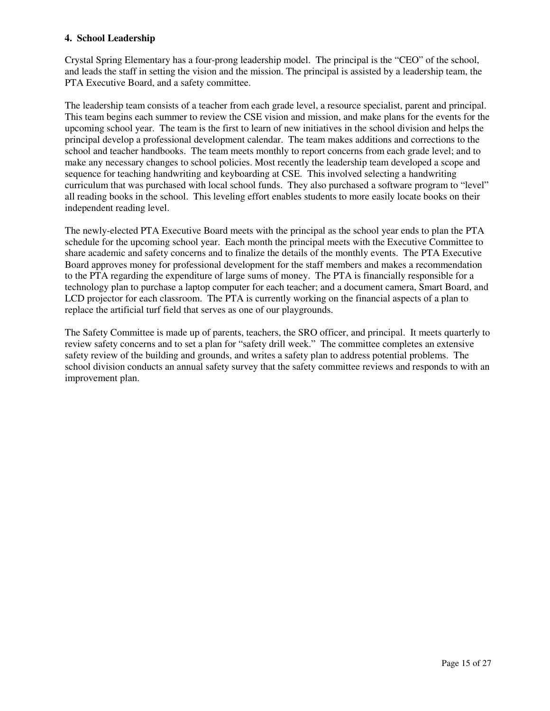#### **4. School Leadership**

Crystal Spring Elementary has a four-prong leadership model. The principal is the "CEO" of the school, and leads the staff in setting the vision and the mission. The principal is assisted by a leadership team, the PTA Executive Board, and a safety committee.

The leadership team consists of a teacher from each grade level, a resource specialist, parent and principal. This team begins each summer to review the CSE vision and mission, and make plans for the events for the upcoming school year. The team is the first to learn of new initiatives in the school division and helps the principal develop a professional development calendar. The team makes additions and corrections to the school and teacher handbooks. The team meets monthly to report concerns from each grade level; and to make any necessary changes to school policies. Most recently the leadership team developed a scope and sequence for teaching handwriting and keyboarding at CSE. This involved selecting a handwriting curriculum that was purchased with local school funds. They also purchased a software program to "level" all reading books in the school. This leveling effort enables students to more easily locate books on their independent reading level.

The newly-elected PTA Executive Board meets with the principal as the school year ends to plan the PTA schedule for the upcoming school year. Each month the principal meets with the Executive Committee to share academic and safety concerns and to finalize the details of the monthly events. The PTA Executive Board approves money for professional development for the staff members and makes a recommendation to the PTA regarding the expenditure of large sums of money. The PTA is financially responsible for a technology plan to purchase a laptop computer for each teacher; and a document camera, Smart Board, and LCD projector for each classroom. The PTA is currently working on the financial aspects of a plan to replace the artificial turf field that serves as one of our playgrounds.

The Safety Committee is made up of parents, teachers, the SRO officer, and principal. It meets quarterly to review safety concerns and to set a plan for "safety drill week." The committee completes an extensive safety review of the building and grounds, and writes a safety plan to address potential problems. The school division conducts an annual safety survey that the safety committee reviews and responds to with an improvement plan.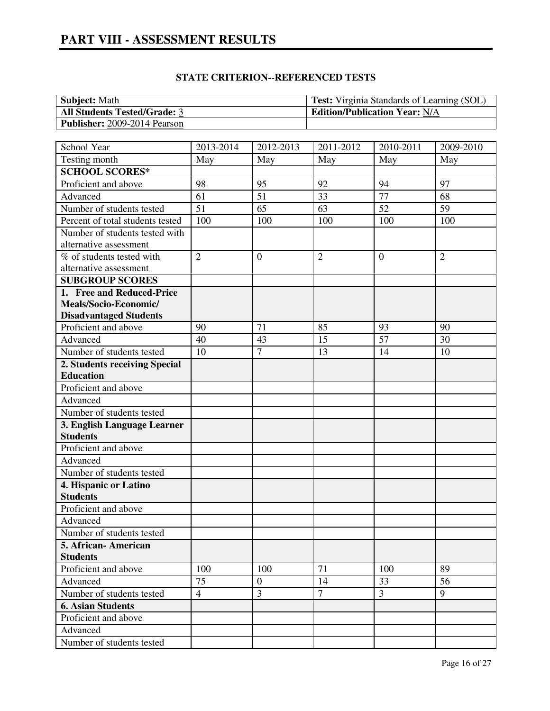| <b>Subject:</b> Math                | <b>Test:</b> Virginia Standards of Learning (SOL) |
|-------------------------------------|---------------------------------------------------|
| <b>All Students Tested/Grade: 3</b> | <b>Edition/Publication Year: N/A</b>              |
| <b>Publisher:</b> 2009-2014 Pearson |                                                   |

| School Year                      | 2013-2014      | 2012-2013      | 2011-2012      | 2010-2011       | 2009-2010      |
|----------------------------------|----------------|----------------|----------------|-----------------|----------------|
| Testing month                    | May            | May            | May            | May             | May            |
| <b>SCHOOL SCORES*</b>            |                |                |                |                 |                |
| Proficient and above             | 98             | 95             | 92             | 94              | 97             |
| Advanced                         | 61             | 51             | 33             | $\overline{77}$ | 68             |
| Number of students tested        | 51             | 65             | 63             | 52              | 59             |
| Percent of total students tested | 100            | 100            | 100            | 100             | 100            |
| Number of students tested with   |                |                |                |                 |                |
| alternative assessment           |                |                |                |                 |                |
| % of students tested with        | $\overline{2}$ | $\overline{0}$ | $\overline{2}$ | $\overline{0}$  | $\overline{2}$ |
| alternative assessment           |                |                |                |                 |                |
| <b>SUBGROUP SCORES</b>           |                |                |                |                 |                |
| 1. Free and Reduced-Price        |                |                |                |                 |                |
| Meals/Socio-Economic/            |                |                |                |                 |                |
| <b>Disadvantaged Students</b>    |                |                |                |                 |                |
| Proficient and above             | 90             | 71             | 85             | 93              | 90             |
| Advanced                         | 40             | 43             | 15             | 57              | 30             |
| Number of students tested        | 10             | $\overline{7}$ | 13             | 14              | 10             |
| 2. Students receiving Special    |                |                |                |                 |                |
| <b>Education</b>                 |                |                |                |                 |                |
| Proficient and above             |                |                |                |                 |                |
| Advanced                         |                |                |                |                 |                |
| Number of students tested        |                |                |                |                 |                |
| 3. English Language Learner      |                |                |                |                 |                |
| <b>Students</b>                  |                |                |                |                 |                |
| Proficient and above             |                |                |                |                 |                |
| Advanced                         |                |                |                |                 |                |
| Number of students tested        |                |                |                |                 |                |
| 4. Hispanic or Latino            |                |                |                |                 |                |
| <b>Students</b>                  |                |                |                |                 |                |
| Proficient and above             |                |                |                |                 |                |
| Advanced                         |                |                |                |                 |                |
| Number of students tested        |                |                |                |                 |                |
| 5. African - American            |                |                |                |                 |                |
| <b>Students</b>                  |                |                |                |                 |                |
| Proficient and above             | 100            | 100            | 71             | 100             | 89             |
| Advanced                         | 75             | $\mathbf{0}$   | 14             | 33              | 56             |
| Number of students tested        | $\overline{4}$ | 3              | $\overline{7}$ | 3               | 9              |
| <b>6. Asian Students</b>         |                |                |                |                 |                |
| Proficient and above             |                |                |                |                 |                |
| Advanced                         |                |                |                |                 |                |
| Number of students tested        |                |                |                |                 |                |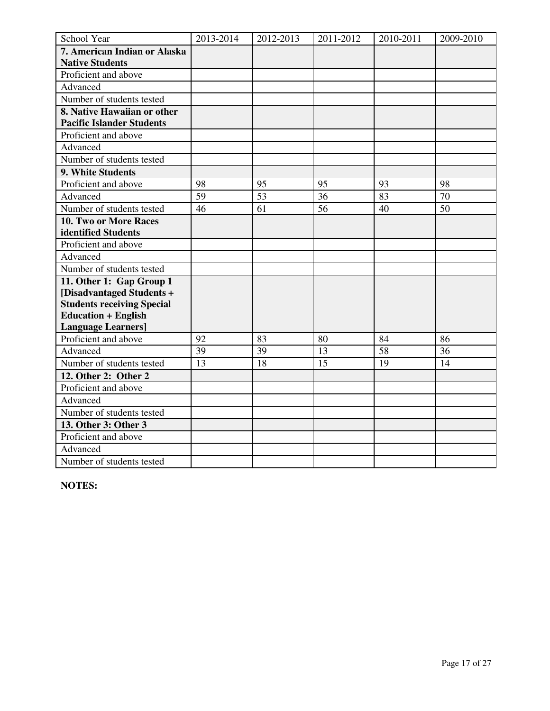| School Year                       | 2013-2014       | 2012-2013 | 2011-2012 | 2010-2011 | 2009-2010 |
|-----------------------------------|-----------------|-----------|-----------|-----------|-----------|
| 7. American Indian or Alaska      |                 |           |           |           |           |
| <b>Native Students</b>            |                 |           |           |           |           |
| Proficient and above              |                 |           |           |           |           |
| Advanced                          |                 |           |           |           |           |
| Number of students tested         |                 |           |           |           |           |
| 8. Native Hawaiian or other       |                 |           |           |           |           |
| <b>Pacific Islander Students</b>  |                 |           |           |           |           |
| Proficient and above              |                 |           |           |           |           |
| Advanced                          |                 |           |           |           |           |
| Number of students tested         |                 |           |           |           |           |
| 9. White Students                 |                 |           |           |           |           |
| Proficient and above              | 98              | 95        | 95        | 93        | 98        |
| Advanced                          | 59              | 53        | 36        | 83        | 70        |
| Number of students tested         | 46              | 61        | 56        | 40        | 50        |
| <b>10. Two or More Races</b>      |                 |           |           |           |           |
| identified Students               |                 |           |           |           |           |
| Proficient and above              |                 |           |           |           |           |
| Advanced                          |                 |           |           |           |           |
| Number of students tested         |                 |           |           |           |           |
| 11. Other 1: Gap Group 1          |                 |           |           |           |           |
| [Disadvantaged Students +         |                 |           |           |           |           |
| <b>Students receiving Special</b> |                 |           |           |           |           |
| <b>Education + English</b>        |                 |           |           |           |           |
| <b>Language Learners]</b>         |                 |           |           |           |           |
| Proficient and above              | 92              | 83        | 80        | 84        | 86        |
| Advanced                          | 39              | 39        | 13        | 58        | 36        |
| Number of students tested         | $\overline{13}$ | 18        | 15        | 19        | 14        |
| 12. Other 2: Other 2              |                 |           |           |           |           |
| Proficient and above              |                 |           |           |           |           |
| Advanced                          |                 |           |           |           |           |
| Number of students tested         |                 |           |           |           |           |
| 13. Other 3: Other 3              |                 |           |           |           |           |
| Proficient and above              |                 |           |           |           |           |
| Advanced                          |                 |           |           |           |           |
| Number of students tested         |                 |           |           |           |           |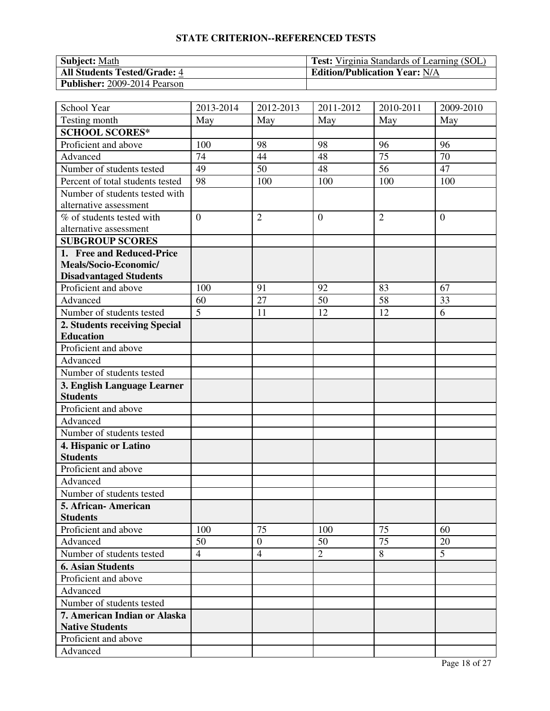| <b>Subject:</b> Math                | <b>Test:</b> Virginia Standards of Learning (SOL) |
|-------------------------------------|---------------------------------------------------|
| <b>All Students Tested/Grade: 4</b> | <b>Edition/Publication Year: N/A</b>              |
| <b>Publisher:</b> 2009-2014 Pearson |                                                   |

| School Year                      | 2013-2014      | 2012-2013      | 2011-2012      | 2010-2011      | 2009-2010      |
|----------------------------------|----------------|----------------|----------------|----------------|----------------|
| Testing month                    | May            | May            | May            | May            | May            |
| <b>SCHOOL SCORES*</b>            |                |                |                |                |                |
| Proficient and above             | 100            | 98             | 98             | 96             | 96             |
| Advanced                         | 74             | 44             | 48             | 75             | 70             |
| Number of students tested        | 49             | 50             | 48             | 56             | 47             |
| Percent of total students tested | 98             | 100            | 100            | 100            | 100            |
| Number of students tested with   |                |                |                |                |                |
| alternative assessment           |                |                |                |                |                |
| % of students tested with        | $\overline{0}$ | $\overline{2}$ | $\overline{0}$ | $\overline{2}$ | $\overline{0}$ |
| alternative assessment           |                |                |                |                |                |
| <b>SUBGROUP SCORES</b>           |                |                |                |                |                |
| 1. Free and Reduced-Price        |                |                |                |                |                |
| Meals/Socio-Economic/            |                |                |                |                |                |
| <b>Disadvantaged Students</b>    |                |                |                |                |                |
| Proficient and above             | 100            | 91             | 92             | 83             | 67             |
| Advanced                         | 60             | 27             | 50             | 58             | 33             |
| Number of students tested        | $\overline{5}$ | 11             | 12             | 12             | 6              |
| 2. Students receiving Special    |                |                |                |                |                |
| <b>Education</b>                 |                |                |                |                |                |
| Proficient and above             |                |                |                |                |                |
| Advanced                         |                |                |                |                |                |
| Number of students tested        |                |                |                |                |                |
| 3. English Language Learner      |                |                |                |                |                |
| <b>Students</b>                  |                |                |                |                |                |
| Proficient and above             |                |                |                |                |                |
| Advanced                         |                |                |                |                |                |
| Number of students tested        |                |                |                |                |                |
| 4. Hispanic or Latino            |                |                |                |                |                |
| <b>Students</b>                  |                |                |                |                |                |
| Proficient and above             |                |                |                |                |                |
| Advanced                         |                |                |                |                |                |
| Number of students tested        |                |                |                |                |                |
| 5. African- American             |                |                |                |                |                |
| <b>Students</b>                  |                |                |                |                |                |
| Proficient and above             | 100            | 75             | 100            | 75             | 60             |
| Advanced                         | 50             | $\overline{0}$ | 50             | 75             | 20             |
| Number of students tested        | $\overline{4}$ | $\overline{4}$ | $\overline{2}$ | 8              | 5              |
| <b>6. Asian Students</b>         |                |                |                |                |                |
| Proficient and above             |                |                |                |                |                |
| Advanced                         |                |                |                |                |                |
| Number of students tested        |                |                |                |                |                |
| 7. American Indian or Alaska     |                |                |                |                |                |
| <b>Native Students</b>           |                |                |                |                |                |
| Proficient and above             |                |                |                |                |                |
| Advanced                         |                |                |                |                |                |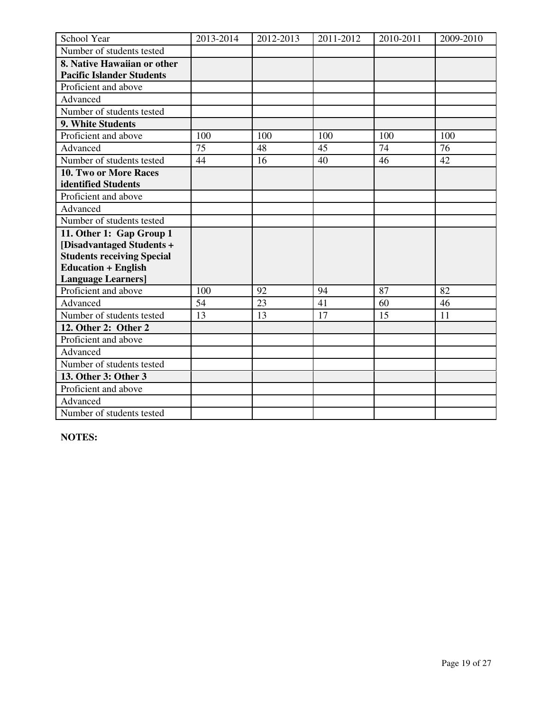| School Year                       | 2013-2014 | 2012-2013 | 2011-2012 | 2010-2011 | 2009-2010 |
|-----------------------------------|-----------|-----------|-----------|-----------|-----------|
| Number of students tested         |           |           |           |           |           |
| 8. Native Hawaiian or other       |           |           |           |           |           |
| <b>Pacific Islander Students</b>  |           |           |           |           |           |
| Proficient and above              |           |           |           |           |           |
| Advanced                          |           |           |           |           |           |
| Number of students tested         |           |           |           |           |           |
| 9. White Students                 |           |           |           |           |           |
| Proficient and above              | 100       | 100       | 100       | 100       | 100       |
| Advanced                          | 75        | 48        | 45        | 74        | 76        |
| Number of students tested         | 44        | 16        | 40        | 46        | 42        |
| 10. Two or More Races             |           |           |           |           |           |
| identified Students               |           |           |           |           |           |
| Proficient and above              |           |           |           |           |           |
| Advanced                          |           |           |           |           |           |
| Number of students tested         |           |           |           |           |           |
| 11. Other 1: Gap Group 1          |           |           |           |           |           |
| [Disadvantaged Students +         |           |           |           |           |           |
| <b>Students receiving Special</b> |           |           |           |           |           |
| <b>Education + English</b>        |           |           |           |           |           |
| <b>Language Learners]</b>         |           |           |           |           |           |
| Proficient and above              | 100       | 92        | 94        | 87        | 82        |
| Advanced                          | 54        | 23        | 41        | 60        | 46        |
| Number of students tested         | 13        | 13        | 17        | 15        | 11        |
| 12. Other 2: Other 2              |           |           |           |           |           |
| Proficient and above              |           |           |           |           |           |
| Advanced                          |           |           |           |           |           |
| Number of students tested         |           |           |           |           |           |
| 13. Other 3: Other 3              |           |           |           |           |           |
| Proficient and above              |           |           |           |           |           |
| Advanced                          |           |           |           |           |           |
| Number of students tested         |           |           |           |           |           |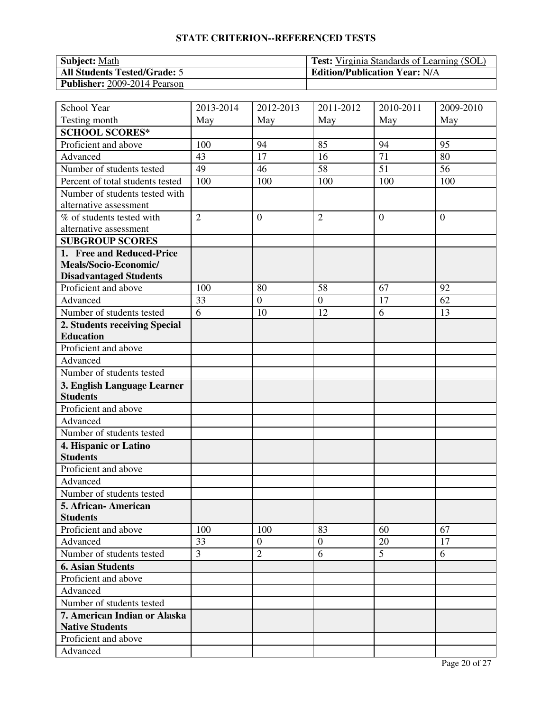| <b>Subject:</b> Math                | <b>Test:</b> Virginia Standards of Learning (SOL) |
|-------------------------------------|---------------------------------------------------|
| <b>All Students Tested/Grade: 5</b> | <b>Edition/Publication Year: N/A</b>              |
| <b>Publisher:</b> 2009-2014 Pearson |                                                   |

| School Year                      | 2013-2014      | 2012-2013      | 2011-2012      | 2010-2011      | 2009-2010      |
|----------------------------------|----------------|----------------|----------------|----------------|----------------|
| Testing month                    | May            | May            | May            | May            | May            |
| <b>SCHOOL SCORES*</b>            |                |                |                |                |                |
| Proficient and above             | 100            | 94             | 85             | 94             | 95             |
| Advanced                         | 43             | 17             | 16             | 71             | 80             |
| Number of students tested        | 49             | 46             | 58             | 51             | 56             |
| Percent of total students tested | 100            | 100            | 100            | 100            | 100            |
| Number of students tested with   |                |                |                |                |                |
| alternative assessment           |                |                |                |                |                |
| % of students tested with        | $\overline{2}$ | $\overline{0}$ | $\overline{2}$ | $\overline{0}$ | $\overline{0}$ |
| alternative assessment           |                |                |                |                |                |
| <b>SUBGROUP SCORES</b>           |                |                |                |                |                |
| 1. Free and Reduced-Price        |                |                |                |                |                |
| Meals/Socio-Economic/            |                |                |                |                |                |
| <b>Disadvantaged Students</b>    |                |                |                |                |                |
| Proficient and above             | 100            | 80             | 58             | 67             | 92             |
| Advanced                         | 33             | $\overline{0}$ | $\overline{0}$ | 17             | 62             |
| Number of students tested        | 6              | 10             | 12             | 6              | 13             |
| 2. Students receiving Special    |                |                |                |                |                |
| <b>Education</b>                 |                |                |                |                |                |
| Proficient and above             |                |                |                |                |                |
| Advanced                         |                |                |                |                |                |
| Number of students tested        |                |                |                |                |                |
| 3. English Language Learner      |                |                |                |                |                |
| <b>Students</b>                  |                |                |                |                |                |
| Proficient and above             |                |                |                |                |                |
| Advanced                         |                |                |                |                |                |
| Number of students tested        |                |                |                |                |                |
| 4. Hispanic or Latino            |                |                |                |                |                |
| <b>Students</b>                  |                |                |                |                |                |
| Proficient and above             |                |                |                |                |                |
| Advanced                         |                |                |                |                |                |
| Number of students tested        |                |                |                |                |                |
| 5. African- American             |                |                |                |                |                |
| <b>Students</b>                  |                |                |                |                |                |
| Proficient and above             | 100            | 100            | 83             | 60             | 67             |
| Advanced                         | 33             | $\overline{0}$ | $\mathbf{0}$   | 20             | 17             |
| Number of students tested        | 3              | $\overline{2}$ | 6              | 5              | 6              |
| <b>6. Asian Students</b>         |                |                |                |                |                |
| Proficient and above             |                |                |                |                |                |
| Advanced                         |                |                |                |                |                |
| Number of students tested        |                |                |                |                |                |
| 7. American Indian or Alaska     |                |                |                |                |                |
| <b>Native Students</b>           |                |                |                |                |                |
| Proficient and above             |                |                |                |                |                |
| Advanced                         |                |                |                |                |                |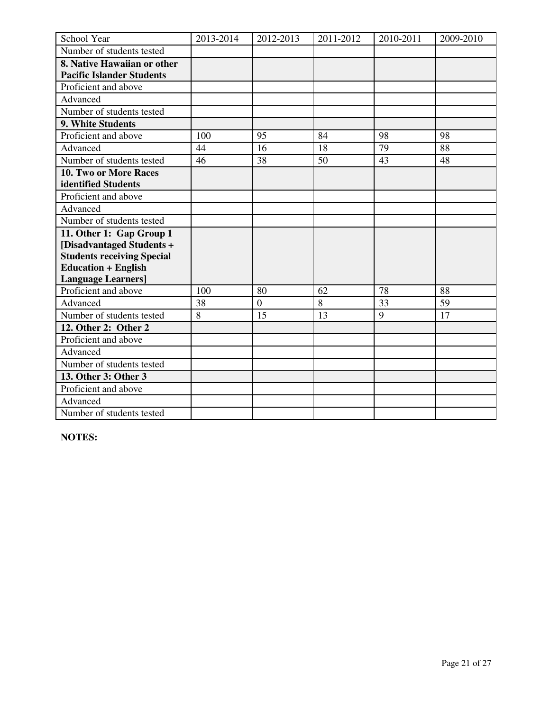| School Year                       | 2013-2014 | 2012-2013      | 2011-2012 | 2010-2011 | 2009-2010 |
|-----------------------------------|-----------|----------------|-----------|-----------|-----------|
| Number of students tested         |           |                |           |           |           |
| 8. Native Hawaiian or other       |           |                |           |           |           |
| <b>Pacific Islander Students</b>  |           |                |           |           |           |
| Proficient and above              |           |                |           |           |           |
| Advanced                          |           |                |           |           |           |
| Number of students tested         |           |                |           |           |           |
| 9. White Students                 |           |                |           |           |           |
| Proficient and above              | 100       | 95             | 84        | 98        | 98        |
| Advanced                          | 44        | 16             | 18        | 79        | 88        |
| Number of students tested         | 46        | 38             | 50        | 43        | 48        |
| 10. Two or More Races             |           |                |           |           |           |
| identified Students               |           |                |           |           |           |
| Proficient and above              |           |                |           |           |           |
| Advanced                          |           |                |           |           |           |
| Number of students tested         |           |                |           |           |           |
| 11. Other 1: Gap Group 1          |           |                |           |           |           |
| [Disadvantaged Students +         |           |                |           |           |           |
| <b>Students receiving Special</b> |           |                |           |           |           |
| <b>Education + English</b>        |           |                |           |           |           |
| <b>Language Learners]</b>         |           |                |           |           |           |
| Proficient and above              | 100       | 80             | 62        | 78        | 88        |
| Advanced                          | 38        | $\overline{0}$ | 8         | 33        | 59        |
| Number of students tested         | 8         | 15             | 13        | 9         | 17        |
| 12. Other 2: Other 2              |           |                |           |           |           |
| Proficient and above              |           |                |           |           |           |
| Advanced                          |           |                |           |           |           |
| Number of students tested         |           |                |           |           |           |
| 13. Other 3: Other 3              |           |                |           |           |           |
| Proficient and above              |           |                |           |           |           |
| Advanced                          |           |                |           |           |           |
| Number of students tested         |           |                |           |           |           |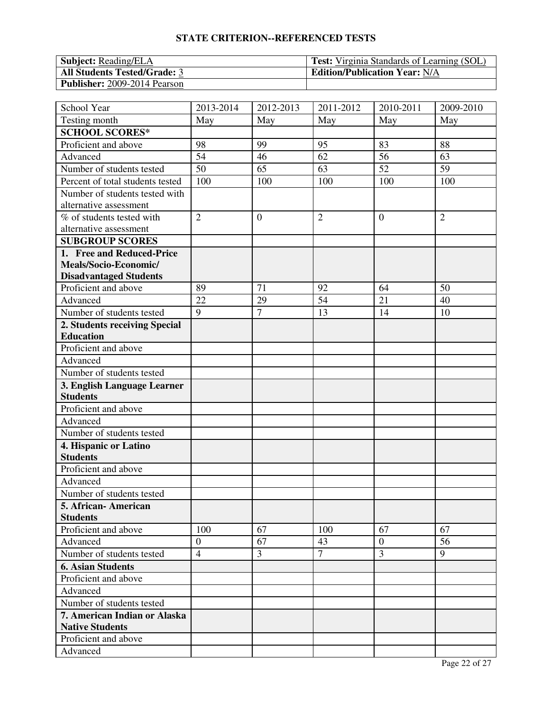| <b>Subject:</b> Reading/ELA         | <b>Test:</b> Virginia Standards of Learning (SOL) |
|-------------------------------------|---------------------------------------------------|
| <b>All Students Tested/Grade: 3</b> | <b>Edition/Publication Year: N/A</b>              |
| <b>Publisher:</b> 2009-2014 Pearson |                                                   |

| School Year                      | 2013-2014        | 2012-2013      | 2011-2012      | 2010-2011      | 2009-2010      |
|----------------------------------|------------------|----------------|----------------|----------------|----------------|
| Testing month                    | May              | May            | May            | May            | May            |
| <b>SCHOOL SCORES*</b>            |                  |                |                |                |                |
| Proficient and above             | 98               | 99             | 95             | 83             | 88             |
| Advanced                         | 54               | 46             | 62             | 56             | 63             |
| Number of students tested        | 50               | 65             | 63             | 52             | 59             |
| Percent of total students tested | 100              | 100            | 100            | 100            | 100            |
| Number of students tested with   |                  |                |                |                |                |
| alternative assessment           |                  |                |                |                |                |
| % of students tested with        | $\overline{2}$   | $\overline{0}$ | $\overline{2}$ | $\overline{0}$ | $\overline{2}$ |
| alternative assessment           |                  |                |                |                |                |
| <b>SUBGROUP SCORES</b>           |                  |                |                |                |                |
| 1. Free and Reduced-Price        |                  |                |                |                |                |
| Meals/Socio-Economic/            |                  |                |                |                |                |
| <b>Disadvantaged Students</b>    |                  |                |                |                |                |
| Proficient and above             | 89               | 71             | 92             | 64             | 50             |
| Advanced                         | 22               | 29             | 54             | 21             | 40             |
| Number of students tested        | 9                | $\overline{7}$ | 13             | 14             | 10             |
| 2. Students receiving Special    |                  |                |                |                |                |
| <b>Education</b>                 |                  |                |                |                |                |
| Proficient and above             |                  |                |                |                |                |
| Advanced                         |                  |                |                |                |                |
| Number of students tested        |                  |                |                |                |                |
| 3. English Language Learner      |                  |                |                |                |                |
| <b>Students</b>                  |                  |                |                |                |                |
| Proficient and above             |                  |                |                |                |                |
| Advanced                         |                  |                |                |                |                |
| Number of students tested        |                  |                |                |                |                |
| 4. Hispanic or Latino            |                  |                |                |                |                |
| <b>Students</b>                  |                  |                |                |                |                |
| Proficient and above             |                  |                |                |                |                |
| Advanced                         |                  |                |                |                |                |
| Number of students tested        |                  |                |                |                |                |
| 5. African-American              |                  |                |                |                |                |
| <b>Students</b>                  |                  |                |                |                |                |
| Proficient and above             | 100              | 67             | 100            | 67             | 67             |
| Advanced                         | $\boldsymbol{0}$ | 67             | 43             | $\overline{0}$ | 56             |
| Number of students tested        | $\overline{4}$   | $\overline{3}$ | $\overline{7}$ | 3              | 9              |
| <b>6. Asian Students</b>         |                  |                |                |                |                |
| Proficient and above             |                  |                |                |                |                |
| Advanced                         |                  |                |                |                |                |
| Number of students tested        |                  |                |                |                |                |
| 7. American Indian or Alaska     |                  |                |                |                |                |
| <b>Native Students</b>           |                  |                |                |                |                |
| Proficient and above             |                  |                |                |                |                |
| Advanced                         |                  |                |                |                |                |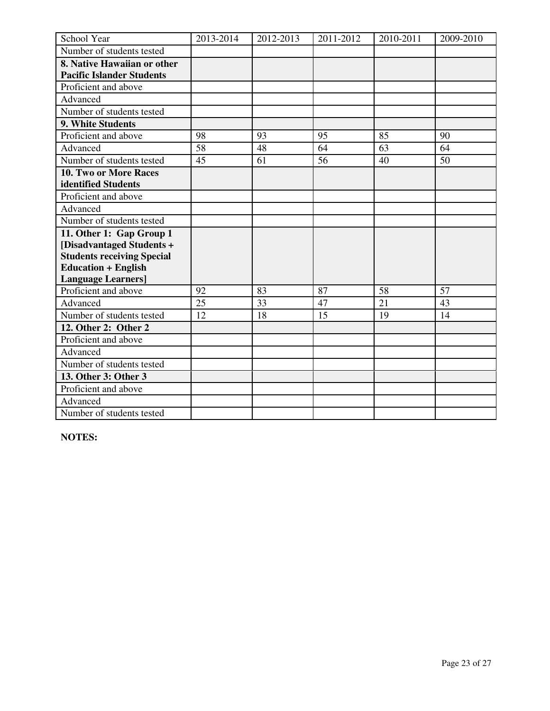| School Year                       | 2013-2014 | 2012-2013 | 2011-2012 | 2010-2011 | 2009-2010 |
|-----------------------------------|-----------|-----------|-----------|-----------|-----------|
| Number of students tested         |           |           |           |           |           |
| 8. Native Hawaiian or other       |           |           |           |           |           |
| <b>Pacific Islander Students</b>  |           |           |           |           |           |
| Proficient and above              |           |           |           |           |           |
| Advanced                          |           |           |           |           |           |
| Number of students tested         |           |           |           |           |           |
| 9. White Students                 |           |           |           |           |           |
| Proficient and above              | 98        | 93        | 95        | 85        | 90        |
| Advanced                          | 58        | 48        | 64        | 63        | 64        |
| Number of students tested         | 45        | 61        | 56        | 40        | 50        |
| 10. Two or More Races             |           |           |           |           |           |
| identified Students               |           |           |           |           |           |
| Proficient and above              |           |           |           |           |           |
| Advanced                          |           |           |           |           |           |
| Number of students tested         |           |           |           |           |           |
| 11. Other 1: Gap Group 1          |           |           |           |           |           |
| [Disadvantaged Students +         |           |           |           |           |           |
| <b>Students receiving Special</b> |           |           |           |           |           |
| <b>Education + English</b>        |           |           |           |           |           |
| <b>Language Learners]</b>         |           |           |           |           |           |
| Proficient and above              | 92        | 83        | 87        | 58        | 57        |
| Advanced                          | 25        | 33        | 47        | 21        | 43        |
| Number of students tested         | 12        | 18        | 15        | 19        | 14        |
| 12. Other 2: Other 2              |           |           |           |           |           |
| Proficient and above              |           |           |           |           |           |
| Advanced                          |           |           |           |           |           |
| Number of students tested         |           |           |           |           |           |
| 13. Other 3: Other 3              |           |           |           |           |           |
| Proficient and above              |           |           |           |           |           |
| Advanced                          |           |           |           |           |           |
| Number of students tested         |           |           |           |           |           |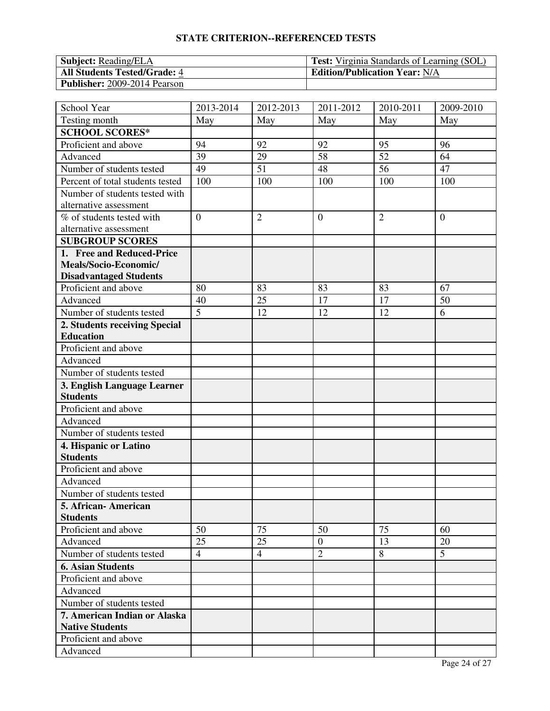| <b>Subject:</b> Reading/ELA         | <b>Test:</b> Virginia Standards of Learning (SOL) |
|-------------------------------------|---------------------------------------------------|
| <b>All Students Tested/Grade: 4</b> | <b>Edition/Publication Year: N/A</b>              |
| <b>Publisher:</b> 2009-2014 Pearson |                                                   |

| School Year                      | 2013-2014      | 2012-2013      | 2011-2012      | 2010-2011      | 2009-2010      |
|----------------------------------|----------------|----------------|----------------|----------------|----------------|
| Testing month                    | May            | May            | May            | May            | May            |
| <b>SCHOOL SCORES*</b>            |                |                |                |                |                |
| Proficient and above             | 94             | 92             | 92             | 95             | 96             |
| Advanced                         | 39             | 29             | 58             | 52             | 64             |
| Number of students tested        | 49             | 51             | 48             | 56             | 47             |
| Percent of total students tested | 100            | 100            | 100            | 100            | 100            |
| Number of students tested with   |                |                |                |                |                |
| alternative assessment           |                |                |                |                |                |
| % of students tested with        | $\overline{0}$ | $\overline{2}$ | $\overline{0}$ | $\overline{2}$ | $\overline{0}$ |
| alternative assessment           |                |                |                |                |                |
| <b>SUBGROUP SCORES</b>           |                |                |                |                |                |
| 1. Free and Reduced-Price        |                |                |                |                |                |
| Meals/Socio-Economic/            |                |                |                |                |                |
| <b>Disadvantaged Students</b>    |                |                |                |                |                |
| Proficient and above             | 80             | 83             | 83             | 83             | 67             |
| Advanced                         | 40             | 25             | 17             | 17             | 50             |
| Number of students tested        | $\overline{5}$ | 12             | 12             | 12             | 6              |
| 2. Students receiving Special    |                |                |                |                |                |
| <b>Education</b>                 |                |                |                |                |                |
| Proficient and above             |                |                |                |                |                |
| Advanced                         |                |                |                |                |                |
| Number of students tested        |                |                |                |                |                |
| 3. English Language Learner      |                |                |                |                |                |
| <b>Students</b>                  |                |                |                |                |                |
| Proficient and above             |                |                |                |                |                |
| Advanced                         |                |                |                |                |                |
| Number of students tested        |                |                |                |                |                |
| 4. Hispanic or Latino            |                |                |                |                |                |
| <b>Students</b>                  |                |                |                |                |                |
| Proficient and above             |                |                |                |                |                |
| Advanced                         |                |                |                |                |                |
| Number of students tested        |                |                |                |                |                |
| 5. African- American             |                |                |                |                |                |
| <b>Students</b>                  |                |                |                |                |                |
| Proficient and above             | 50             | 75             | 50             | 75             | 60             |
| Advanced                         | 25             | 25             | $\overline{0}$ | 13             | 20             |
| Number of students tested        | $\overline{4}$ | $\overline{4}$ | $\overline{2}$ | 8              | 5              |
| <b>6. Asian Students</b>         |                |                |                |                |                |
| Proficient and above             |                |                |                |                |                |
| Advanced                         |                |                |                |                |                |
| Number of students tested        |                |                |                |                |                |
| 7. American Indian or Alaska     |                |                |                |                |                |
| <b>Native Students</b>           |                |                |                |                |                |
| Proficient and above             |                |                |                |                |                |
| Advanced                         |                |                |                |                |                |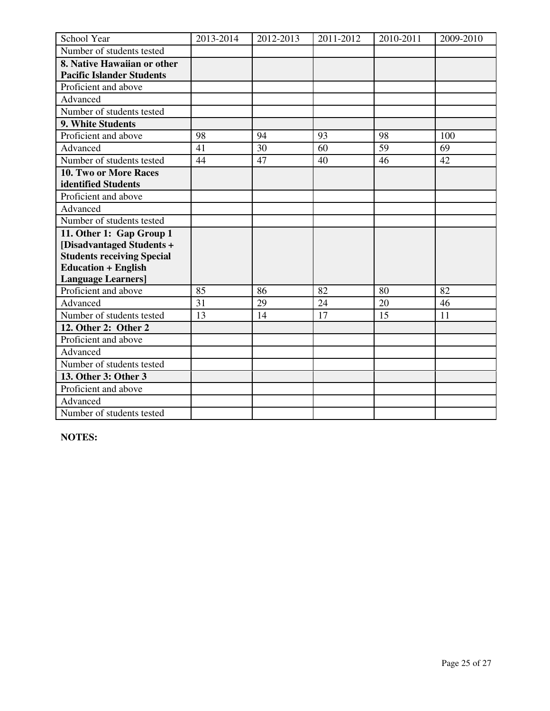| School Year                       | 2013-2014 | 2012-2013 | 2011-2012 | 2010-2011 | 2009-2010 |
|-----------------------------------|-----------|-----------|-----------|-----------|-----------|
| Number of students tested         |           |           |           |           |           |
| 8. Native Hawaiian or other       |           |           |           |           |           |
| <b>Pacific Islander Students</b>  |           |           |           |           |           |
| Proficient and above              |           |           |           |           |           |
| Advanced                          |           |           |           |           |           |
| Number of students tested         |           |           |           |           |           |
| 9. White Students                 |           |           |           |           |           |
| Proficient and above              | 98        | 94        | 93        | 98        | 100       |
| Advanced                          | 41        | 30        | 60        | 59        | 69        |
| Number of students tested         | 44        | 47        | 40        | 46        | 42        |
| 10. Two or More Races             |           |           |           |           |           |
| identified Students               |           |           |           |           |           |
| Proficient and above              |           |           |           |           |           |
| Advanced                          |           |           |           |           |           |
| Number of students tested         |           |           |           |           |           |
| 11. Other 1: Gap Group 1          |           |           |           |           |           |
| [Disadvantaged Students +         |           |           |           |           |           |
| <b>Students receiving Special</b> |           |           |           |           |           |
| <b>Education + English</b>        |           |           |           |           |           |
| <b>Language Learners]</b>         |           |           |           |           |           |
| Proficient and above              | 85        | 86        | 82        | 80        | 82        |
| Advanced                          | 31        | 29        | 24        | 20        | 46        |
| Number of students tested         | 13        | 14        | 17        | 15        | 11        |
| 12. Other 2: Other 2              |           |           |           |           |           |
| Proficient and above              |           |           |           |           |           |
| Advanced                          |           |           |           |           |           |
| Number of students tested         |           |           |           |           |           |
| 13. Other 3: Other 3              |           |           |           |           |           |
| Proficient and above              |           |           |           |           |           |
| Advanced                          |           |           |           |           |           |
| Number of students tested         |           |           |           |           |           |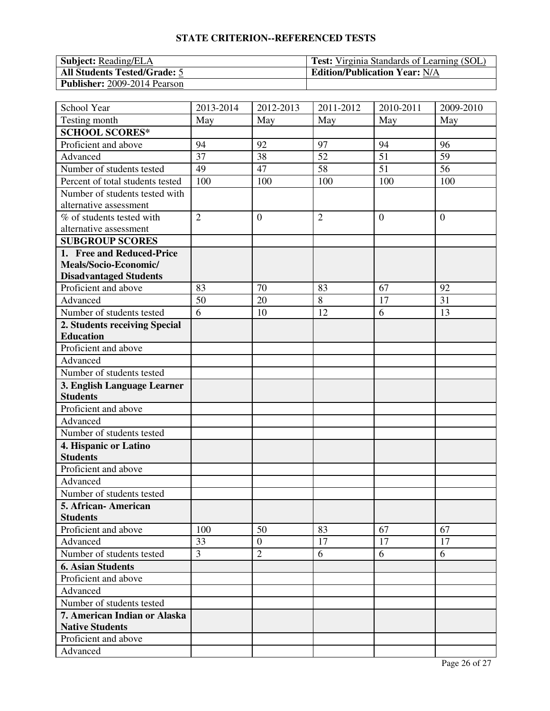| <b>Subject:</b> Reading/ELA         | <b>Test:</b> Virginia Standards of Learning (SOL) |
|-------------------------------------|---------------------------------------------------|
| <b>All Students Tested/Grade: 5</b> | <b>Edition/Publication Year: N/A</b>              |
| <b>Publisher:</b> 2009-2014 Pearson |                                                   |

| School Year                      | 2013-2014      | 2012-2013      | 2011-2012      | 2010-2011      | 2009-2010      |
|----------------------------------|----------------|----------------|----------------|----------------|----------------|
| Testing month                    | May            | May            | May            | May            | May            |
| <b>SCHOOL SCORES*</b>            |                |                |                |                |                |
| Proficient and above             | 94             | 92             | 97             | 94             | 96             |
| Advanced                         | 37             | 38             | 52             | 51             | 59             |
| Number of students tested        | 49             | 47             | 58             | 51             | 56             |
| Percent of total students tested | 100            | 100            | 100            | 100            | 100            |
| Number of students tested with   |                |                |                |                |                |
| alternative assessment           |                |                |                |                |                |
| % of students tested with        | $\overline{2}$ | $\overline{0}$ | $\overline{2}$ | $\overline{0}$ | $\overline{0}$ |
| alternative assessment           |                |                |                |                |                |
| <b>SUBGROUP SCORES</b>           |                |                |                |                |                |
| 1. Free and Reduced-Price        |                |                |                |                |                |
| Meals/Socio-Economic/            |                |                |                |                |                |
| <b>Disadvantaged Students</b>    |                |                |                |                |                |
| Proficient and above             | 83             | 70             | 83             | 67             | 92             |
| Advanced                         | 50             | 20             | 8              | 17             | 31             |
| Number of students tested        | 6              | 10             | 12             | 6              | 13             |
| 2. Students receiving Special    |                |                |                |                |                |
| <b>Education</b>                 |                |                |                |                |                |
| Proficient and above             |                |                |                |                |                |
| Advanced                         |                |                |                |                |                |
| Number of students tested        |                |                |                |                |                |
| 3. English Language Learner      |                |                |                |                |                |
| <b>Students</b>                  |                |                |                |                |                |
| Proficient and above             |                |                |                |                |                |
| Advanced                         |                |                |                |                |                |
| Number of students tested        |                |                |                |                |                |
| 4. Hispanic or Latino            |                |                |                |                |                |
| <b>Students</b>                  |                |                |                |                |                |
| Proficient and above             |                |                |                |                |                |
| Advanced                         |                |                |                |                |                |
| Number of students tested        |                |                |                |                |                |
| 5. African- American             |                |                |                |                |                |
| <b>Students</b>                  |                |                |                |                |                |
| Proficient and above             | 100            | 50             | 83             | 67             | 67             |
| Advanced                         | 33             | $\overline{0}$ | 17             | 17             | 17             |
| Number of students tested        | 3              | $\overline{2}$ | 6              | 6              | 6              |
| <b>6. Asian Students</b>         |                |                |                |                |                |
| Proficient and above             |                |                |                |                |                |
| Advanced                         |                |                |                |                |                |
| Number of students tested        |                |                |                |                |                |
| 7. American Indian or Alaska     |                |                |                |                |                |
| <b>Native Students</b>           |                |                |                |                |                |
| Proficient and above             |                |                |                |                |                |
| Advanced                         |                |                |                |                |                |